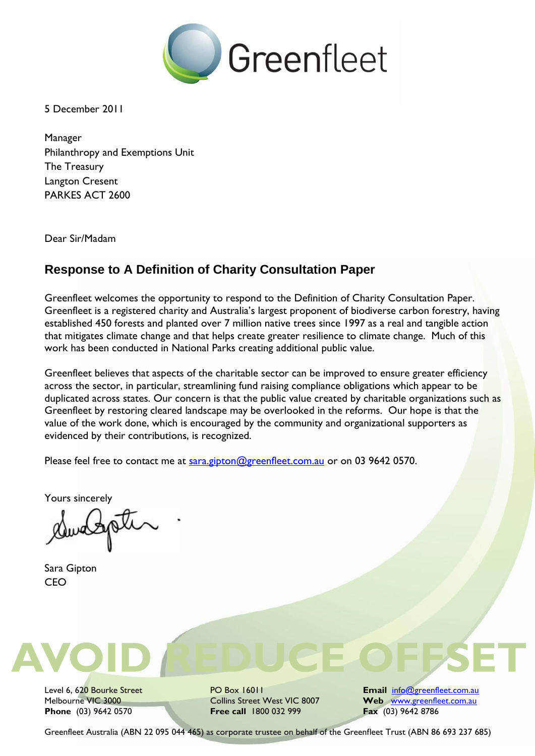

5 December 2011

Manager Philanthropy and Exemptions Unit The Treasury Langton Cresent PARKES ACT 2600

Dear Sir/Madam

# **Response to A Definition of Charity Consultation Paper**

Greenfleet welcomes the opportunity to respond to the Definition of Charity Consultation Paper. Greenfleet is a registered charity and Australia's largest proponent of biodiverse carbon forestry, having established 450 forests and planted over 7 million native trees since 1997 as a real and tangible action that mitigates climate change and that helps create greater resilience to climate change. Much of this work has been conducted in National Parks creating additional public value.

Greenfleet believes that aspects of the charitable sector can be improved to ensure greater efficiency across the sector, in particular, streamlining fund raising compliance obligations which appear to be duplicated across states. Our concern is that the public value created by charitable organizations such as Greenfleet by restoring cleared landscape may be overlooked in the reforms. Our hope is that the value of the work done, which is encouraged by the community and organizational supporters as evidenced by their contributions, is recognized.

Please feel free to contact me at [sara.gipton@greenfleet.com.au](mailto:sara.gipton@greenfleet.com.au) or on 03 9642 0570.

Yours sincerely

Sara Gipton CEO



**Phone** (03) 9642 0570 **Free call** 1800 032 999

Level 6, 620 Bourke Street **PO Box 16011 Email** info@greenfleet.com.au Melbourne VIC 3000<br> **Phone** (03) 9642 0570 **Free call** 1800 032 999 **Free Fax** (03) 9642 8786

Greenfleet Australia (ABN 22 095 044 465) as corporate trustee on behalf of the Greenfleet Trust (ABN 86 693 237 685)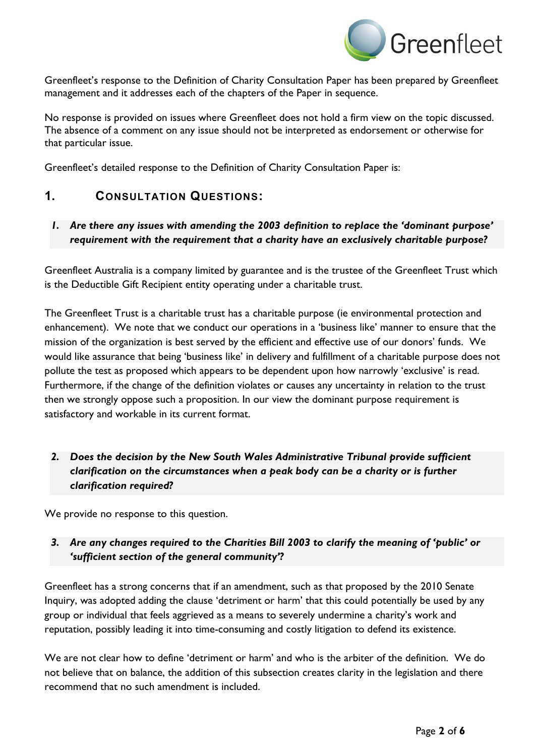

Greenfleet's response to the Definition of Charity Consultation Paper has been prepared by Greenfleet management and it addresses each of the chapters of the Paper in sequence.

No response is provided on issues where Greenfleet does not hold a firm view on the topic discussed. The absence of a comment on any issue should not be interpreted as endorsement or otherwise for that particular issue.

Greenfleet's detailed response to the Definition of Charity Consultation Paper is:

### **1. CONSULTATION QUESTIONS:**

#### *1. Are there any issues with amending the 2003 definition to replace the 'dominant purpose' requirement with the requirement that a charity have an exclusively charitable purpose?*

Greenfleet Australia is a company limited by guarantee and is the trustee of the Greenfleet Trust which is the Deductible Gift Recipient entity operating under a charitable trust.

The Greenfleet Trust is a charitable trust has a charitable purpose (ie environmental protection and enhancement). We note that we conduct our operations in a 'business like' manner to ensure that the mission of the organization is best served by the efficient and effective use of our donors' funds. We would like assurance that being 'business like' in delivery and fulfillment of a charitable purpose does not pollute the test as proposed which appears to be dependent upon how narrowly 'exclusive' is read. Furthermore, if the change of the definition violates or causes any uncertainty in relation to the trust then we strongly oppose such a proposition. In our view the dominant purpose requirement is satisfactory and workable in its current format.

*2. Does the decision by the New South Wales Administrative Tribunal provide sufficient clarification on the circumstances when a peak body can be a charity or is further clarification required?*

We provide no response to this question.

### *3. Are any changes required to the Charities Bill 2003 to clarify the meaning of 'public' or 'sufficient section of the general community'?*

Greenfleet has a strong concerns that if an amendment, such as that proposed by the 2010 Senate Inquiry, was adopted adding the clause 'detriment or harm' that this could potentially be used by any group or individual that feels aggrieved as a means to severely undermine a charity's work and reputation, possibly leading it into time-consuming and costly litigation to defend its existence.

We are not clear how to define 'detriment or harm' and who is the arbiter of the definition. We do not believe that on balance, the addition of this subsection creates clarity in the legislation and there recommend that no such amendment is included.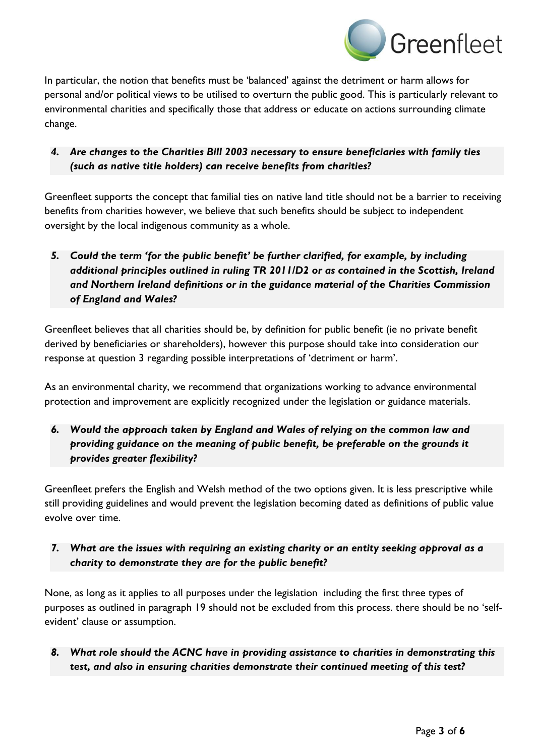

In particular, the notion that benefits must be 'balanced' against the detriment or harm allows for personal and/or political views to be utilised to overturn the public good. This is particularly relevant to environmental charities and specifically those that address or educate on actions surrounding climate change.

#### *4. Are changes to the Charities Bill 2003 necessary to ensure beneficiaries with family ties (such as native title holders) can receive benefits from charities?*

Greenfleet supports the concept that familial ties on native land title should not be a barrier to receiving benefits from charities however, we believe that such benefits should be subject to independent oversight by the local indigenous community as a whole.

# *5. Could the term 'for the public benefit' be further clarified, for example, by including additional principles outlined in ruling TR 2011/D2 or as contained in the Scottish, Ireland and Northern Ireland definitions or in the guidance material of the Charities Commission of England and Wales?*

Greenfleet believes that all charities should be, by definition for public benefit (ie no private benefit derived by beneficiaries or shareholders), however this purpose should take into consideration our response at question 3 regarding possible interpretations of 'detriment or harm'.

As an environmental charity, we recommend that organizations working to advance environmental protection and improvement are explicitly recognized under the legislation or guidance materials.

# *6. Would the approach taken by England and Wales of relying on the common law and providing guidance on the meaning of public benefit, be preferable on the grounds it provides greater flexibility?*

Greenfleet prefers the English and Welsh method of the two options given. It is less prescriptive while still providing guidelines and would prevent the legislation becoming dated as definitions of public value evolve over time.

### *7. What are the issues with requiring an existing charity or an entity seeking approval as a charity to demonstrate they are for the public benefit?*

None, as long as it applies to all purposes under the legislation including the first three types of purposes as outlined in paragraph 19 should not be excluded from this process. there should be no 'selfevident' clause or assumption.

### *8. What role should the ACNC have in providing assistance to charities in demonstrating this test, and also in ensuring charities demonstrate their continued meeting of this test?*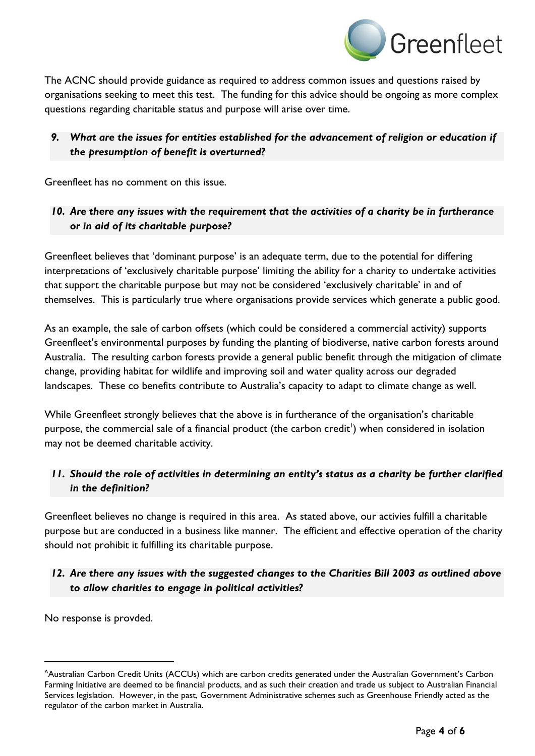

The ACNC should provide guidance as required to address common issues and questions raised by organisations seeking to meet this test. The funding for this advice should be ongoing as more complex questions regarding charitable status and purpose will arise over time.

### *9. What are the issues for entities established for the advancement of religion or education if the presumption of benefit is overturned?*

Greenfleet has no comment on this issue.

#### *10. Are there any issues with the requirement that the activities of a charity be in furtherance or in aid of its charitable purpose?*

Greenfleet believes that 'dominant purpose' is an adequate term, due to the potential for differing interpretations of 'exclusively charitable purpose' limiting the ability for a charity to undertake activities that support the charitable purpose but may not be considered 'exclusively charitable' in and of themselves. This is particularly true where organisations provide services which generate a public good.

As an example, the sale of carbon offsets (which could be considered a commercial activity) supports Greenfleet's environmental purposes by funding the planting of biodiverse, native carbon forests around Australia. The resulting carbon forests provide a general public benefit through the mitigation of climate change, providing habitat for wildlife and improving soil and water quality across our degraded landscapes. These co benefits contribute to Australia's capacity to adapt to climate change as well.

While Greenfleet strongly believes that the above is in furtherance of the organisation's charitable purpose, the commercial sale of a financial product (the carbon credit<sup>1</sup>) when considered in isolation may not be deemed charitable activity.

### *11. Should the role of activities in determining an entity's status as a charity be further clarified in the definition?*

Greenfleet believes no change is required in this area. As stated above, our activies fulfill a charitable purpose but are conducted in a business like manner. The efficient and effective operation of the charity should not prohibit it fulfilling its charitable purpose.

### *12. Are there any issues with the suggested changes to the Charities Bill 2003 as outlined above to allow charities to engage in political activities?*

No response is provded.

 $\overline{a}$ 

<sup>&</sup>lt;sup>A</sup>Australian Carbon Credit Units (ACCUs) which are carbon credits generated under the Australian Government's Carbon Farming Initiative are deemed to be financial products, and as such their creation and trade us subject to Australian Financial Services legislation. However, in the past, Government Administrative schemes such as Greenhouse Friendly acted as the regulator of the carbon market in Australia.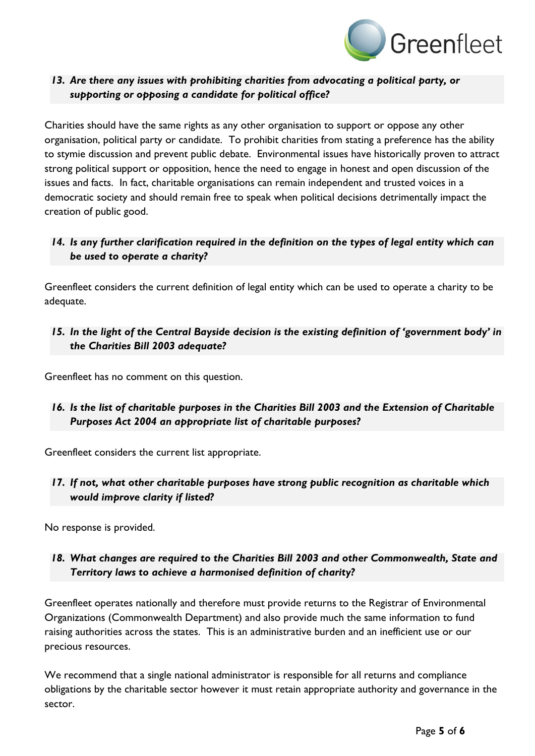

#### *13. Are there any issues with prohibiting charities from advocating a political party, or supporting or opposing a candidate for political office?*

Charities should have the same rights as any other organisation to support or oppose any other organisation, political party or candidate. To prohibit charities from stating a preference has the ability to stymie discussion and prevent public debate. Environmental issues have historically proven to attract strong political support or opposition, hence the need to engage in honest and open discussion of the issues and facts. In fact, charitable organisations can remain independent and trusted voices in a democratic society and should remain free to speak when political decisions detrimentally impact the creation of public good.

#### *14. Is any further clarification required in the definition on the types of legal entity which can be used to operate a charity?*

Greenfleet considers the current definition of legal entity which can be used to operate a charity to be adequate.

#### *15. In the light of the Central Bayside decision is the existing definition of 'government body' in the Charities Bill 2003 adequate?*

Greenfleet has no comment on this question.

### *16. Is the list of charitable purposes in the Charities Bill 2003 and the Extension of Charitable Purposes Act 2004 an appropriate list of charitable purposes?*

Greenfleet considers the current list appropriate.

#### *17. If not, what other charitable purposes have strong public recognition as charitable which would improve clarity if listed?*

No response is provided.

#### *18. What changes are required to the Charities Bill 2003 and other Commonwealth, State and Territory laws to achieve a harmonised definition of charity?*

Greenfleet operates nationally and therefore must provide returns to the Registrar of Environmental Organizations (Commonwealth Department) and also provide much the same information to fund raising authorities across the states. This is an administrative burden and an inefficient use or our precious resources.

We recommend that a single national administrator is responsible for all returns and compliance obligations by the charitable sector however it must retain appropriate authority and governance in the sector.